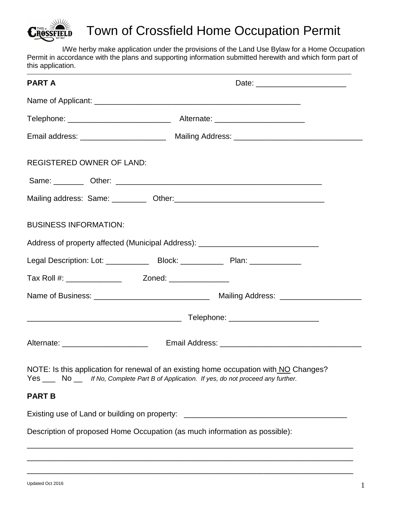

# Town of Crossfield Home Occupation Permit

I/We herby make application under the provisions of the Land Use Bylaw for a Home Occupation Permit in accordance with the plans and supporting information submitted herewith and which form part of this application.

| <b>PART A</b>                         |                                                                                                                                                                                    |
|---------------------------------------|------------------------------------------------------------------------------------------------------------------------------------------------------------------------------------|
|                                       |                                                                                                                                                                                    |
|                                       |                                                                                                                                                                                    |
|                                       | Email address: _________________________ Mailing Address: _______________________                                                                                                  |
| <b>REGISTERED OWNER OF LAND:</b>      |                                                                                                                                                                                    |
|                                       |                                                                                                                                                                                    |
|                                       |                                                                                                                                                                                    |
| <b>BUSINESS INFORMATION:</b>          |                                                                                                                                                                                    |
|                                       | Address of property affected (Municipal Address): ______________________________                                                                                                   |
|                                       | Legal Description: Lot: ________________Block: _________________________________                                                                                                   |
|                                       |                                                                                                                                                                                    |
|                                       |                                                                                                                                                                                    |
|                                       |                                                                                                                                                                                    |
| Alternate: __________________________ |                                                                                                                                                                                    |
|                                       | NOTE: Is this application for renewal of an existing home occupation with NO Changes?<br>Yes ____ No __ If No, Complete Part B of Application. If yes, do not proceed any further. |
| <b>PART B</b>                         |                                                                                                                                                                                    |
|                                       | Existing use of Land or building on property: __________________________________                                                                                                   |
|                                       | Description of proposed Home Occupation (as much information as possible):                                                                                                         |

\_\_\_\_\_\_\_\_\_\_\_\_\_\_\_\_\_\_\_\_\_\_\_\_\_\_\_\_\_\_\_\_\_\_\_\_\_\_\_\_\_\_\_\_\_\_\_\_\_\_\_\_\_\_\_\_\_\_\_\_\_\_\_\_\_\_\_\_\_\_\_\_\_\_\_\_ \_\_\_\_\_\_\_\_\_\_\_\_\_\_\_\_\_\_\_\_\_\_\_\_\_\_\_\_\_\_\_\_\_\_\_\_\_\_\_\_\_\_\_\_\_\_\_\_\_\_\_\_\_\_\_\_\_\_\_\_\_\_\_\_\_\_\_\_\_\_\_\_\_\_\_\_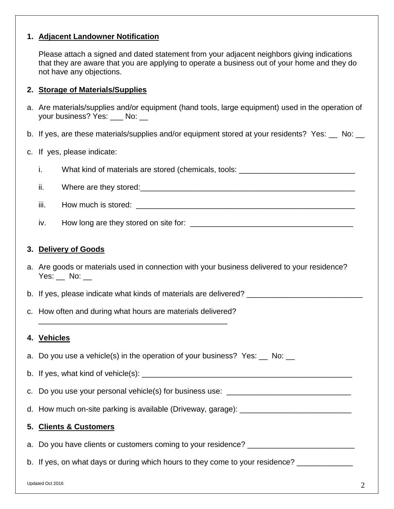# **1. Adjacent Landowner Notification**

Please attach a signed and dated statement from your adjacent neighbors giving indications that they are aware that you are applying to operate a business out of your home and they do not have any objections.

## **2. Storage of Materials/Supplies**

- a. Are materials/supplies and/or equipment (hand tools, large equipment) used in the operation of your business? Yes: No: \_\_
- b. If yes, are these materials/supplies and/or equipment stored at your residents? Yes:  $\_\_$  No:  $\_\_$

#### c. If yes, please indicate:

- i. What kind of materials are stored (chemicals, tools:  $\blacksquare$
- ii. Where are they stored:\_\_\_\_\_\_\_\_\_\_\_\_\_\_\_\_\_\_\_\_\_\_\_\_\_\_\_\_\_\_\_\_\_\_\_\_\_\_\_\_\_\_\_\_\_\_\_\_\_\_
- iii. How much is stored:  $\blacksquare$
- iv. How long are they stored on site for: \_\_\_\_\_\_\_\_\_\_\_\_\_\_\_\_\_\_\_\_\_\_\_\_\_\_\_\_\_\_\_\_\_\_\_\_\_\_

## **3. Delivery of Goods**

- a. Are goods or materials used in connection with your business delivered to your residence? Yes: No:
- b. If yes, please indicate what kinds of materials are delivered? \_\_\_\_\_\_\_\_\_\_\_\_\_\_\_\_\_\_\_\_\_
- c. How often and during what hours are materials delivered? \_\_\_\_\_\_\_\_\_\_\_\_\_\_\_\_\_\_\_\_\_\_\_\_\_\_\_\_\_\_\_\_\_\_\_\_\_\_\_\_\_\_\_\_

#### **4. Vehicles**

a. Do you use a vehicle(s) in the operation of your business? Yes: \_\_ No: \_\_

b. If yes, what kind of vehicle(s): \_\_\_\_\_\_\_\_\_\_\_\_\_\_\_\_\_\_\_\_\_\_\_\_\_\_\_\_\_\_\_\_\_\_\_\_\_\_\_\_\_\_\_\_\_\_\_\_\_

- c. Do you use your personal vehicle(s) for business use: \_\_\_\_\_\_\_\_\_\_\_\_\_\_\_\_\_\_\_\_\_\_\_
- d. How much on-site parking is available (Driveway, garage): \_\_\_\_\_\_\_\_\_\_\_\_\_\_\_\_\_\_\_\_

# **5. Clients & Customers**

a. Do you have clients or customers coming to your residence? \_\_\_\_\_\_\_\_\_\_\_\_\_\_\_\_\_\_

b. If yes, on what days or during which hours to they come to your residence?